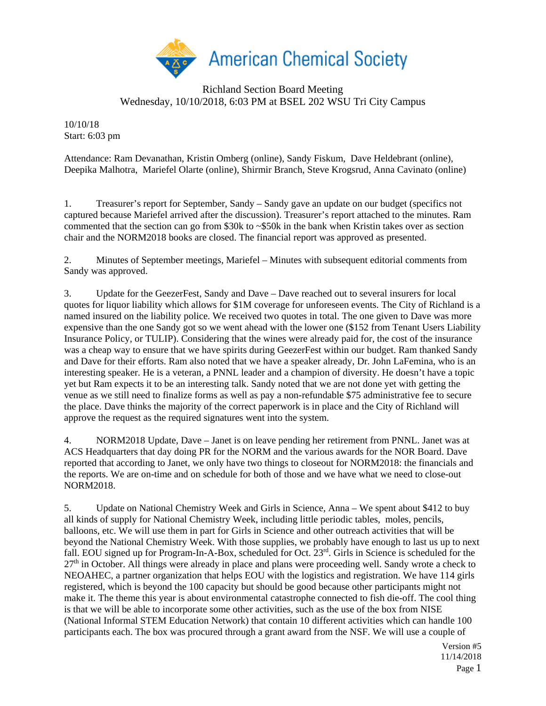

## Richland Section Board Meeting Wednesday, 10/10/2018, 6:03 PM at BSEL 202 WSU Tri City Campus

10/10/18 Start: 6:03 pm

Attendance: Ram Devanathan, Kristin Omberg (online), Sandy Fiskum, Dave Heldebrant (online), Deepika Malhotra, Mariefel Olarte (online), Shirmir Branch, Steve Krogsrud, Anna Cavinato (online)

1. Treasurer's report for September, Sandy – Sandy gave an update on our budget (specifics not captured because Mariefel arrived after the discussion). Treasurer's report attached to the minutes. Ram commented that the section can go from \$30k to ~\$50k in the bank when Kristin takes over as section chair and the NORM2018 books are closed. The financial report was approved as presented.

2. Minutes of September meetings, Mariefel – Minutes with subsequent editorial comments from Sandy was approved.

3. Update for the GeezerFest, Sandy and Dave – Dave reached out to several insurers for local quotes for liquor liability which allows for \$1M coverage for unforeseen events. The City of Richland is a named insured on the liability police. We received two quotes in total. The one given to Dave was more expensive than the one Sandy got so we went ahead with the lower one (\$152 from Tenant Users Liability Insurance Policy, or TULIP). Considering that the wines were already paid for, the cost of the insurance was a cheap way to ensure that we have spirits during GeezerFest within our budget. Ram thanked Sandy and Dave for their efforts. Ram also noted that we have a speaker already, Dr. John LaFemina, who is an interesting speaker. He is a veteran, a PNNL leader and a champion of diversity. He doesn't have a topic yet but Ram expects it to be an interesting talk. Sandy noted that we are not done yet with getting the venue as we still need to finalize forms as well as pay a non-refundable \$75 administrative fee to secure the place. Dave thinks the majority of the correct paperwork is in place and the City of Richland will approve the request as the required signatures went into the system.

4. NORM2018 Update, Dave – Janet is on leave pending her retirement from PNNL. Janet was at ACS Headquarters that day doing PR for the NORM and the various awards for the NOR Board. Dave reported that according to Janet, we only have two things to closeout for NORM2018: the financials and the reports. We are on-time and on schedule for both of those and we have what we need to close-out NORM2018.

5. Update on National Chemistry Week and Girls in Science, Anna – We spent about \$412 to buy all kinds of supply for National Chemistry Week, including little periodic tables, moles, pencils, balloons, etc. We will use them in part for Girls in Science and other outreach activities that will be beyond the National Chemistry Week. With those supplies, we probably have enough to last us up to next fall. EOU signed up for Program-In-A-Box, scheduled for Oct. 23<sup>rd</sup>. Girls in Science is scheduled for the 27<sup>th</sup> in October. All things were already in place and plans were proceeding well. Sandy wrote a check to NEOAHEC, a partner organization that helps EOU with the logistics and registration. We have 114 girls registered, which is beyond the 100 capacity but should be good because other participants might not make it. The theme this year is about environmental catastrophe connected to fish die-off. The cool thing is that we will be able to incorporate some other activities, such as the use of the box from NISE (National Informal STEM Education Network) that contain 10 different activities which can handle 100 participants each. The box was procured through a grant award from the NSF. We will use a couple of

> Version #5 11/14/2018 Page 1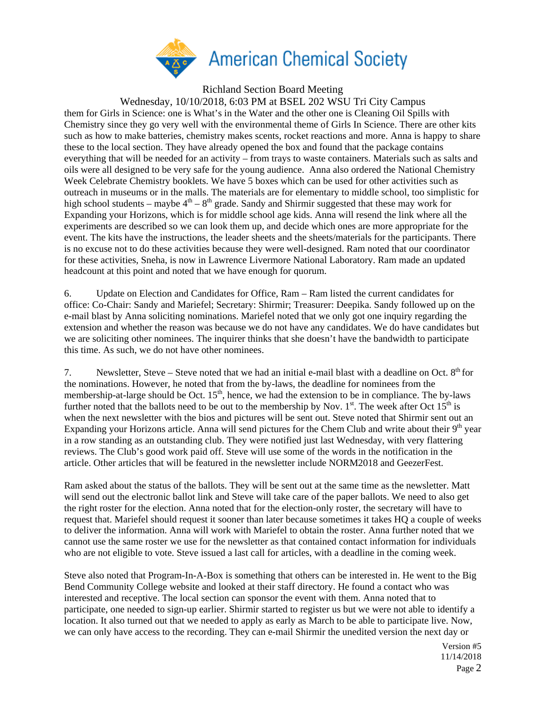

Richland Section Board Meeting

Wednesday, 10/10/2018, 6:03 PM at BSEL 202 WSU Tri City Campus

them for Girls in Science: one is What's in the Water and the other one is Cleaning Oil Spills with Chemistry since they go very well with the environmental theme of Girls In Science. There are other kits such as how to make batteries, chemistry makes scents, rocket reactions and more. Anna is happy to share these to the local section. They have already opened the box and found that the package contains everything that will be needed for an activity – from trays to waste containers. Materials such as salts and oils were all designed to be very safe for the young audience. Anna also ordered the National Chemistry Week Celebrate Chemistry booklets. We have 5 boxes which can be used for other activities such as outreach in museums or in the malls. The materials are for elementary to middle school, too simplistic for high school students – maybe  $4<sup>th</sup> - 8<sup>th</sup>$  grade. Sandy and Shirmir suggested that these may work for Expanding your Horizons, which is for middle school age kids. Anna will resend the link where all the experiments are described so we can look them up, and decide which ones are more appropriate for the event. The kits have the instructions, the leader sheets and the sheets/materials for the participants. There is no excuse not to do these activities because they were well-designed. Ram noted that our coordinator for these activities, Sneha, is now in Lawrence Livermore National Laboratory. Ram made an updated headcount at this point and noted that we have enough for quorum.

6. Update on Election and Candidates for Office, Ram – Ram listed the current candidates for office: Co-Chair: Sandy and Mariefel; Secretary: Shirmir; Treasurer: Deepika. Sandy followed up on the e-mail blast by Anna soliciting nominations. Mariefel noted that we only got one inquiry regarding the extension and whether the reason was because we do not have any candidates. We do have candidates but we are soliciting other nominees. The inquirer thinks that she doesn't have the bandwidth to participate this time. As such, we do not have other nominees.

7. Newsletter, Steve – Steve noted that we had an initial e-mail blast with a deadline on Oct.  $8<sup>th</sup>$  for the nominations. However, he noted that from the by-laws, the deadline for nominees from the membership-at-large should be Oct. 15<sup>th</sup>, hence, we had the extension to be in compliance. The by-laws further noted that the ballots need to be out to the membership by Nov.  $1<sup>st</sup>$ . The week after Oct  $15<sup>th</sup>$  is when the next newsletter with the bios and pictures will be sent out. Steve noted that Shirmir sent out an Expanding your Horizons article. Anna will send pictures for the Chem Club and write about their  $9<sup>th</sup>$  year in a row standing as an outstanding club. They were notified just last Wednesday, with very flattering reviews. The Club's good work paid off. Steve will use some of the words in the notification in the article. Other articles that will be featured in the newsletter include NORM2018 and GeezerFest.

Ram asked about the status of the ballots. They will be sent out at the same time as the newsletter. Matt will send out the electronic ballot link and Steve will take care of the paper ballots. We need to also get the right roster for the election. Anna noted that for the election-only roster, the secretary will have to request that. Mariefel should request it sooner than later because sometimes it takes HQ a couple of weeks to deliver the information. Anna will work with Mariefel to obtain the roster. Anna further noted that we cannot use the same roster we use for the newsletter as that contained contact information for individuals who are not eligible to vote. Steve issued a last call for articles, with a deadline in the coming week.

Steve also noted that Program-In-A-Box is something that others can be interested in. He went to the Big Bend Community College website and looked at their staff directory. He found a contact who was interested and receptive. The local section can sponsor the event with them. Anna noted that to participate, one needed to sign-up earlier. Shirmir started to register us but we were not able to identify a location. It also turned out that we needed to apply as early as March to be able to participate live. Now, we can only have access to the recording. They can e-mail Shirmir the unedited version the next day or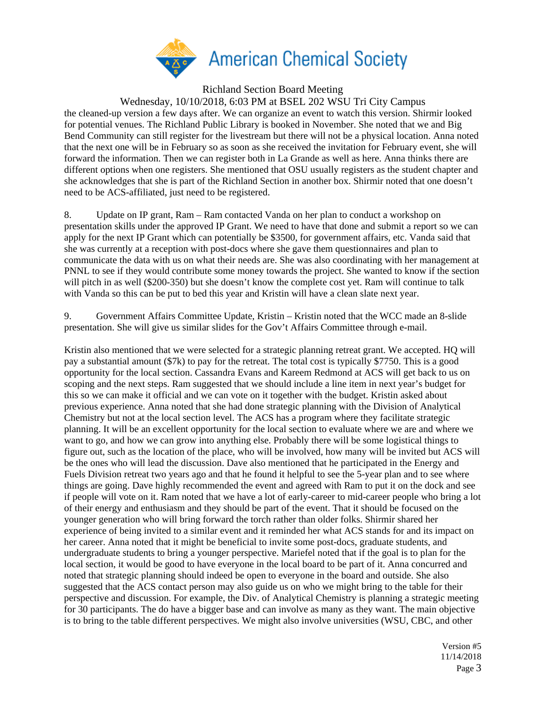

Richland Section Board Meeting

Wednesday, 10/10/2018, 6:03 PM at BSEL 202 WSU Tri City Campus

the cleaned-up version a few days after. We can organize an event to watch this version. Shirmir looked for potential venues. The Richland Public Library is booked in November. She noted that we and Big Bend Community can still register for the livestream but there will not be a physical location. Anna noted that the next one will be in February so as soon as she received the invitation for February event, she will forward the information. Then we can register both in La Grande as well as here. Anna thinks there are different options when one registers. She mentioned that OSU usually registers as the student chapter and she acknowledges that she is part of the Richland Section in another box. Shirmir noted that one doesn't need to be ACS-affiliated, just need to be registered.

8. Update on IP grant, Ram – Ram contacted Vanda on her plan to conduct a workshop on presentation skills under the approved IP Grant. We need to have that done and submit a report so we can apply for the next IP Grant which can potentially be \$3500, for government affairs, etc. Vanda said that she was currently at a reception with post-docs where she gave them questionnaires and plan to communicate the data with us on what their needs are. She was also coordinating with her management at PNNL to see if they would contribute some money towards the project. She wanted to know if the section will pitch in as well (\$200-350) but she doesn't know the complete cost yet. Ram will continue to talk with Vanda so this can be put to bed this year and Kristin will have a clean slate next year.

9. Government Affairs Committee Update, Kristin – Kristin noted that the WCC made an 8-slide presentation. She will give us similar slides for the Gov't Affairs Committee through e-mail.

Kristin also mentioned that we were selected for a strategic planning retreat grant. We accepted. HQ will pay a substantial amount (\$7k) to pay for the retreat. The total cost is typically \$7750. This is a good opportunity for the local section. Cassandra Evans and Kareem Redmond at ACS will get back to us on scoping and the next steps. Ram suggested that we should include a line item in next year's budget for this so we can make it official and we can vote on it together with the budget. Kristin asked about previous experience. Anna noted that she had done strategic planning with the Division of Analytical Chemistry but not at the local section level. The ACS has a program where they facilitate strategic planning. It will be an excellent opportunity for the local section to evaluate where we are and where we want to go, and how we can grow into anything else. Probably there will be some logistical things to figure out, such as the location of the place, who will be involved, how many will be invited but ACS will be the ones who will lead the discussion. Dave also mentioned that he participated in the Energy and Fuels Division retreat two years ago and that he found it helpful to see the 5-year plan and to see where things are going. Dave highly recommended the event and agreed with Ram to put it on the dock and see if people will vote on it. Ram noted that we have a lot of early-career to mid-career people who bring a lot of their energy and enthusiasm and they should be part of the event. That it should be focused on the younger generation who will bring forward the torch rather than older folks. Shirmir shared her experience of being invited to a similar event and it reminded her what ACS stands for and its impact on her career. Anna noted that it might be beneficial to invite some post-docs, graduate students, and undergraduate students to bring a younger perspective. Mariefel noted that if the goal is to plan for the local section, it would be good to have everyone in the local board to be part of it. Anna concurred and noted that strategic planning should indeed be open to everyone in the board and outside. She also suggested that the ACS contact person may also guide us on who we might bring to the table for their perspective and discussion. For example, the Div. of Analytical Chemistry is planning a strategic meeting for 30 participants. The do have a bigger base and can involve as many as they want. The main objective is to bring to the table different perspectives. We might also involve universities (WSU, CBC, and other

> Version #5 11/14/2018 Page 3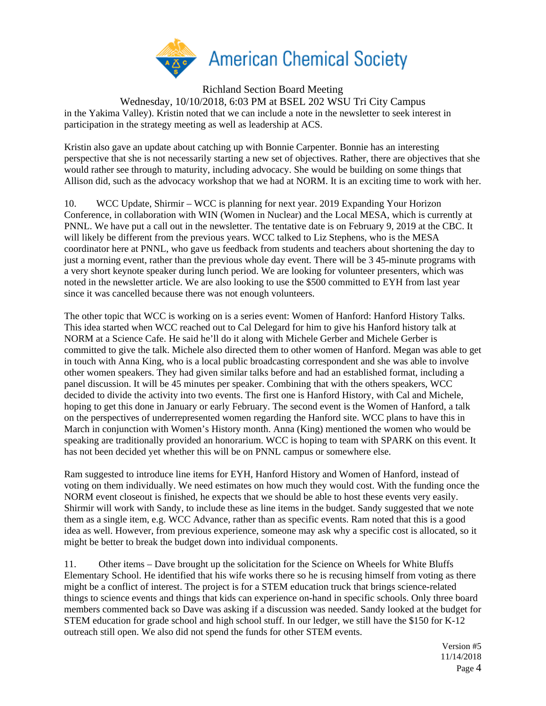

Richland Section Board Meeting Wednesday, 10/10/2018, 6:03 PM at BSEL 202 WSU Tri City Campus in the Yakima Valley). Kristin noted that we can include a note in the newsletter to seek interest in participation in the strategy meeting as well as leadership at ACS.

Kristin also gave an update about catching up with Bonnie Carpenter. Bonnie has an interesting perspective that she is not necessarily starting a new set of objectives. Rather, there are objectives that she would rather see through to maturity, including advocacy. She would be building on some things that Allison did, such as the advocacy workshop that we had at NORM. It is an exciting time to work with her.

10. WCC Update, Shirmir – WCC is planning for next year. 2019 Expanding Your Horizon Conference, in collaboration with WIN (Women in Nuclear) and the Local MESA, which is currently at PNNL. We have put a call out in the newsletter. The tentative date is on February 9, 2019 at the CBC. It will likely be different from the previous years. WCC talked to Liz Stephens, who is the MESA coordinator here at PNNL, who gave us feedback from students and teachers about shortening the day to just a morning event, rather than the previous whole day event. There will be 3 45-minute programs with a very short keynote speaker during lunch period. We are looking for volunteer presenters, which was noted in the newsletter article. We are also looking to use the \$500 committed to EYH from last year since it was cancelled because there was not enough volunteers.

The other topic that WCC is working on is a series event: Women of Hanford: Hanford History Talks. This idea started when WCC reached out to Cal Delegard for him to give his Hanford history talk at NORM at a Science Cafe. He said he'll do it along with Michele Gerber and Michele Gerber is committed to give the talk. Michele also directed them to other women of Hanford. Megan was able to get in touch with Anna King, who is a local public broadcasting correspondent and she was able to involve other women speakers. They had given similar talks before and had an established format, including a panel discussion. It will be 45 minutes per speaker. Combining that with the others speakers, WCC decided to divide the activity into two events. The first one is Hanford History, with Cal and Michele, hoping to get this done in January or early February. The second event is the Women of Hanford, a talk on the perspectives of underrepresented women regarding the Hanford site. WCC plans to have this in March in conjunction with Women's History month. Anna (King) mentioned the women who would be speaking are traditionally provided an honorarium. WCC is hoping to team with SPARK on this event. It has not been decided yet whether this will be on PNNL campus or somewhere else.

Ram suggested to introduce line items for EYH, Hanford History and Women of Hanford, instead of voting on them individually. We need estimates on how much they would cost. With the funding once the NORM event closeout is finished, he expects that we should be able to host these events very easily. Shirmir will work with Sandy, to include these as line items in the budget. Sandy suggested that we note them as a single item, e.g. WCC Advance, rather than as specific events. Ram noted that this is a good idea as well. However, from previous experience, someone may ask why a specific cost is allocated, so it might be better to break the budget down into individual components.

11. Other items – Dave brought up the solicitation for the Science on Wheels for White Bluffs Elementary School. He identified that his wife works there so he is recusing himself from voting as there might be a conflict of interest. The project is for a STEM education truck that brings science-related things to science events and things that kids can experience on-hand in specific schools. Only three board members commented back so Dave was asking if a discussion was needed. Sandy looked at the budget for STEM education for grade school and high school stuff. In our ledger, we still have the \$150 for K-12 outreach still open. We also did not spend the funds for other STEM events.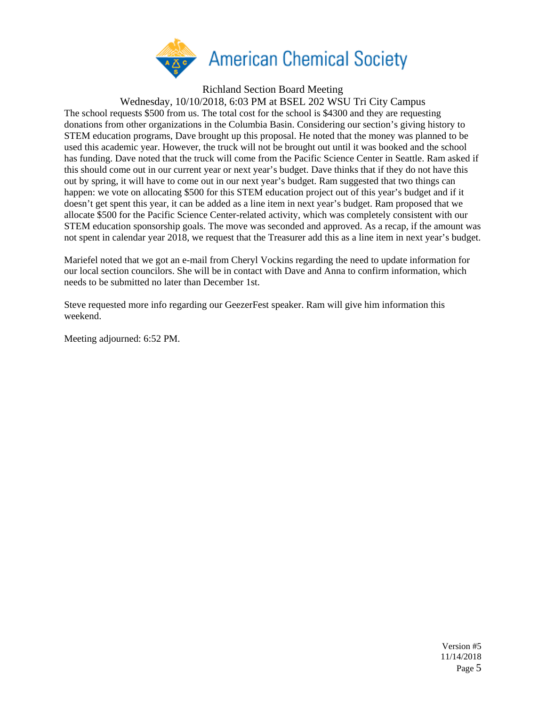

Richland Section Board Meeting

Wednesday, 10/10/2018, 6:03 PM at BSEL 202 WSU Tri City Campus

The school requests \$500 from us. The total cost for the school is \$4300 and they are requesting donations from other organizations in the Columbia Basin. Considering our section's giving history to STEM education programs, Dave brought up this proposal. He noted that the money was planned to be used this academic year. However, the truck will not be brought out until it was booked and the school has funding. Dave noted that the truck will come from the Pacific Science Center in Seattle. Ram asked if this should come out in our current year or next year's budget. Dave thinks that if they do not have this out by spring, it will have to come out in our next year's budget. Ram suggested that two things can happen: we vote on allocating \$500 for this STEM education project out of this year's budget and if it doesn't get spent this year, it can be added as a line item in next year's budget. Ram proposed that we allocate \$500 for the Pacific Science Center-related activity, which was completely consistent with our STEM education sponsorship goals. The move was seconded and approved. As a recap, if the amount was not spent in calendar year 2018, we request that the Treasurer add this as a line item in next year's budget.

Mariefel noted that we got an e-mail from Cheryl Vockins regarding the need to update information for our local section councilors. She will be in contact with Dave and Anna to confirm information, which needs to be submitted no later than December 1st.

Steve requested more info regarding our GeezerFest speaker. Ram will give him information this weekend.

Meeting adjourned: 6:52 PM.

Version #5 11/14/2018 Page 5